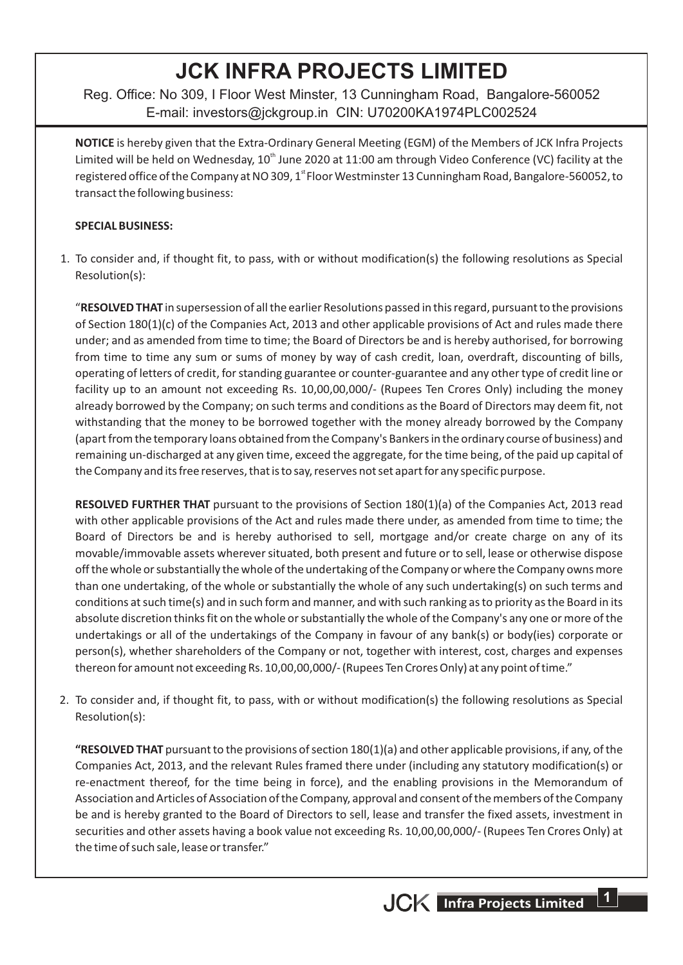# **JCK INFRA PROJECTS LIMITED**

Reg. Office: No 309, I Floor West Minster, 13 Cunningham Road, Bangalore-560052 E-mail: investors@jckgroup.in CIN: U70200KA1974PLC002524

**NOTICE** is hereby given that the Extra-Ordinary General Meeting (EGM) of the Members of JCK Infra Projects Limited will be held on Wednesday, 10<sup>th</sup> June 2020 at 11:00 am through Video Conference (VC) facility at the registered office of the Company at NO 309, 1<sup>st</sup> Floor Westminster 13 Cunningham Road, Bangalore-560052, to transact the following business:

#### **SPECIAL BUSINESS:**

1. To consider and, if thought fit, to pass, with or without modification(s) the following resolutions as Special Resolution(s):

"**RESOLVED THAT** in supersession of all the earlier Resolutions passed in this regard, pursuant to the provisions of Section 180(1)(c) of the Companies Act, 2013 and other applicable provisions of Act and rules made there under; and as amended from time to time; the Board of Directors be and is hereby authorised, for borrowing from time to time any sum or sums of money by way of cash credit, loan, overdraft, discounting of bills, operating of letters of credit, for standing guarantee or counter-guarantee and any other type of credit line or facility up to an amount not exceeding Rs. 10,00,00,000/- (Rupees Ten Crores Only) including the money already borrowed by the Company; on such terms and conditions as the Board of Directors may deem fit, not withstanding that the money to be borrowed together with the money already borrowed by the Company (apart from the temporary loans obtained from the Company's Bankers in the ordinary course of business) and remaining un-discharged at any given time, exceed the aggregate, for the time being, of the paid up capital of the Company and its free reserves, that is to say, reserves not set apart for any specific purpose.

**RESOLVED FURTHER THAT** pursuant to the provisions of Section 180(1)(a) of the Companies Act, 2013 read with other applicable provisions of the Act and rules made there under, as amended from time to time; the Board of Directors be and is hereby authorised to sell, mortgage and/or create charge on any of its movable/immovable assets wherever situated, both present and future or to sell, lease or otherwise dispose off the whole or substantially the whole of the undertaking of the Company or where the Company owns more than one undertaking, of the whole or substantially the whole of any such undertaking(s) on such terms and conditions at such time(s) and in such form and manner, and with such ranking as to priority as the Board in its absolute discretion thinks fit on the whole or substantially the whole of the Company's any one or more of the undertakings or all of the undertakings of the Company in favour of any bank(s) or body(ies) corporate or person(s), whether shareholders of the Company or not, together with interest, cost, charges and expenses thereon for amount not exceeding Rs. 10,00,00,000/- (Rupees Ten Crores Only) at any point of time."

2. To consider and, if thought fit, to pass, with or without modification(s) the following resolutions as Special Resolution(s):

**"RESOLVED THAT** pursuant to the provisions of section 180(1)(a) and other applicable provisions, if any, of the Companies Act, 2013, and the relevant Rules framed there under (including any statutory modification(s) or re-enactment thereof, for the time being in force), and the enabling provisions in the Memorandum of Association and Articles of Association of the Company, approval and consent of the members of the Company be and is hereby granted to the Board of Directors to sell, lease and transfer the fixed assets, investment in securities and other assets having a book value not exceeding Rs. 10,00,00,000/- (Rupees Ten Crores Only) at the time of such sale, lease or transfer."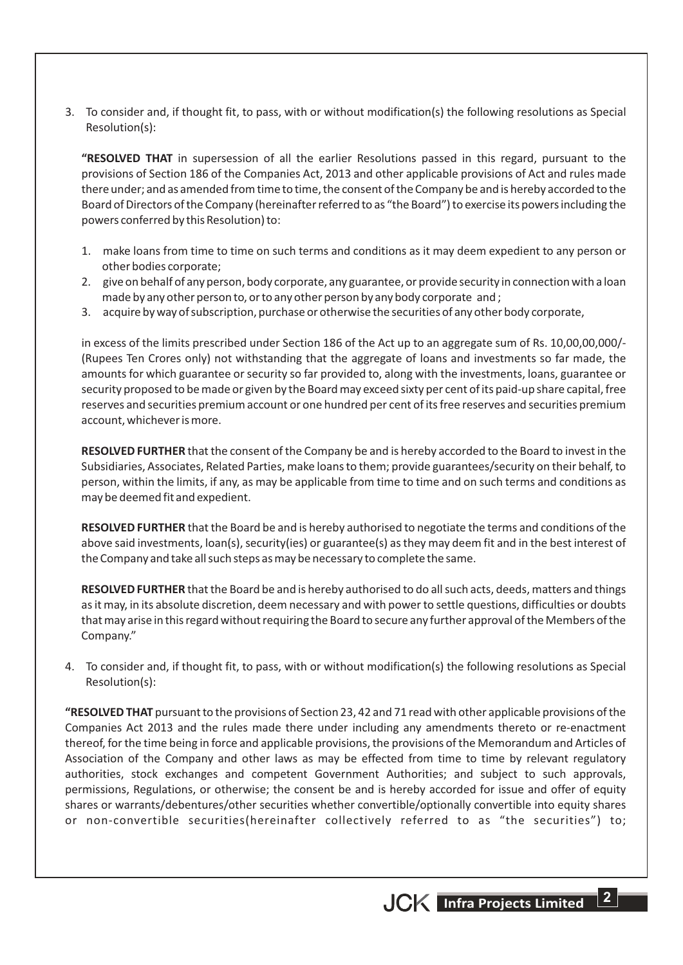3. To consider and, if thought fit, to pass, with or without modification(s) the following resolutions as Special Resolution(s):

**"RESOLVED THAT** in supersession of all the earlier Resolutions passed in this regard, pursuant to the provisions of Section 186 of the Companies Act, 2013 and other applicable provisions of Act and rules made there under; and as amended from time to time, the consent of the Company be and is hereby accorded to the Board of Directors of the Company (hereinafter referred to as "the Board") to exercise its powers including the powers conferred by this Resolution) to:

- 1. make loans from time to time on such terms and conditions as it may deem expedient to any person or other bodies corporate;
- 2. give on behalf of any person, body corporate, any guarantee, or provide security in connection with a loan made by any other person to, or to any other person by any body corporate and ;
- 3. acquire by way of subscription, purchase or otherwise the securities of any other body corporate,

in excess of the limits prescribed under Section 186 of the Act up to an aggregate sum of Rs. 10,00,00,000/- (Rupees Ten Crores only) not withstanding that the aggregate of loans and investments so far made, the amounts for which guarantee or security so far provided to, along with the investments, loans, guarantee or security proposed to be made or given by the Board may exceed sixty per cent of its paid-up share capital, free reserves and securities premium account or one hundred per cent of its free reserves and securities premium account, whichever is more.

**RESOLVED FURTHER** that the consent of the Company be and is hereby accorded to the Board to invest in the Subsidiaries, Associates, Related Parties, make loans to them; provide guarantees/security on their behalf, to person, within the limits, if any, as may be applicable from time to time and on such terms and conditions as may be deemed fit and expedient.

**RESOLVED FURTHER** that the Board be and is hereby authorised to negotiate the terms and conditions of the above said investments, loan(s), security(ies) or guarantee(s) as they may deem fit and in the best interest of the Company and take all such steps as may be necessary to complete the same.

**RESOLVED FURTHER** that the Board be and is hereby authorised to do all such acts, deeds, matters and things as it may, in its absolute discretion, deem necessary and with power to settle questions, difficulties or doubts that may arise in this regard without requiring the Board to secure any further approval of the Members of the Company."

4. To consider and, if thought fit, to pass, with or without modification(s) the following resolutions as Special Resolution(s):

**"RESOLVED THAT** pursuant to the provisions of Section 23, 42 and 71 read with other applicable provisions of the Companies Act 2013 and the rules made there under including any amendments thereto or re-enactment thereof, for the time being in force and applicable provisions, the provisions of the Memorandum and Articles of Association of the Company and other laws as may be effected from time to time by relevant regulatory authorities, stock exchanges and competent Government Authorities; and subject to such approvals, permissions, Regulations, or otherwise; the consent be and is hereby accorded for issue and offer of equity shares or warrants/debentures/other securities whether convertible/optionally convertible into equity shares or non-convertible securities(hereinafter collectively referred to as "the securities") to;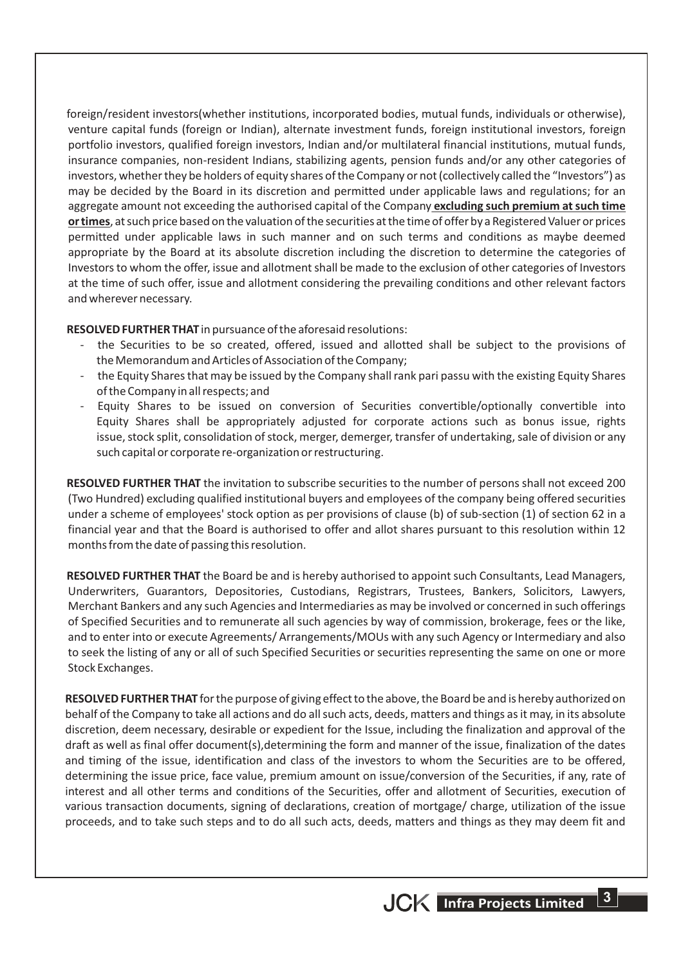foreign/resident investors(whether institutions, incorporated bodies, mutual funds, individuals or otherwise), venture capital funds (foreign or Indian), alternate investment funds, foreign institutional investors, foreign portfolio investors, qualified foreign investors, Indian and/or multilateral financial institutions, mutual funds, insurance companies, non-resident Indians, stabilizing agents, pension funds and/or any other categories of investors, whether they be holders of equity shares of the Company or not (collectively called the "Investors") as may be decided by the Board in its discretion and permitted under applicable laws and regulations; for an aggregate amount not exceeding the authorised capital of the Company **excluding such premium at such time or times**, at such price based on the valuation of the securities at the time of offer by a Registered Valuer or prices permitted under applicable laws in such manner and on such terms and conditions as maybe deemed appropriate by the Board at its absolute discretion including the discretion to determine the categories of Investors to whom the offer, issue and allotment shall be made to the exclusion of other categories of Investors at the time of such offer, issue and allotment considering the prevailing conditions and other relevant factors and wherever necessary.

**RESOLVED FURTHER THAT** in pursuance of the aforesaid resolutions:

- the Securities to be so created, offered, issued and allotted shall be subject to the provisions of the Memorandum and Articles of Association of the Company;
- the Equity Shares that may be issued by the Company shall rank pari passu with the existing Equity Shares of the Company in all respects; and
- Equity Shares to be issued on conversion of Securities convertible/optionally convertible into Equity Shares shall be appropriately adjusted for corporate actions such as bonus issue, rights issue, stock split, consolidation of stock, merger, demerger, transfer of undertaking, sale of division or any such capital or corporate re-organization or restructuring.

**RESOLVED FURTHER THAT** the invitation to subscribe securities to the number of persons shall not exceed 200 (Two Hundred) excluding qualified institutional buyers and employees of the company being offered securities under a scheme of employees' stock option as per provisions of clause (b) of sub-section (1) of section 62 in a financial year and that the Board is authorised to offer and allot shares pursuant to this resolution within 12 months from the date of passing this resolution.

**RESOLVED FURTHER THAT** the Board be and is hereby authorised to appoint such Consultants, Lead Managers, Underwriters, Guarantors, Depositories, Custodians, Registrars, Trustees, Bankers, Solicitors, Lawyers, Merchant Bankers and any such Agencies and Intermediaries as may be involved or concerned in such offerings of Specified Securities and to remunerate all such agencies by way of commission, brokerage, fees or the like, and to enter into or execute Agreements/ Arrangements/MOUs with any such Agency or Intermediary and also to seek the listing of any or all of such Specified Securities or securities representing the same on one or more Stock Exchanges.

**RESOLVED FURTHER THAT** for the purpose of giving effect to the above, the Board be and is hereby authorized on behalf of the Company to take all actions and do all such acts, deeds, matters and things as it may, in its absolute discretion, deem necessary, desirable or expedient for the Issue, including the finalization and approval of the draft as well as final offer document(s),determining the form and manner of the issue, finalization of the dates and timing of the issue, identification and class of the investors to whom the Securities are to be offered, determining the issue price, face value, premium amount on issue/conversion of the Securities, if any, rate of interest and all other terms and conditions of the Securities, offer and allotment of Securities, execution of various transaction documents, signing of declarations, creation of mortgage/ charge, utilization of the issue proceeds, and to take such steps and to do all such acts, deeds, matters and things as they may deem fit and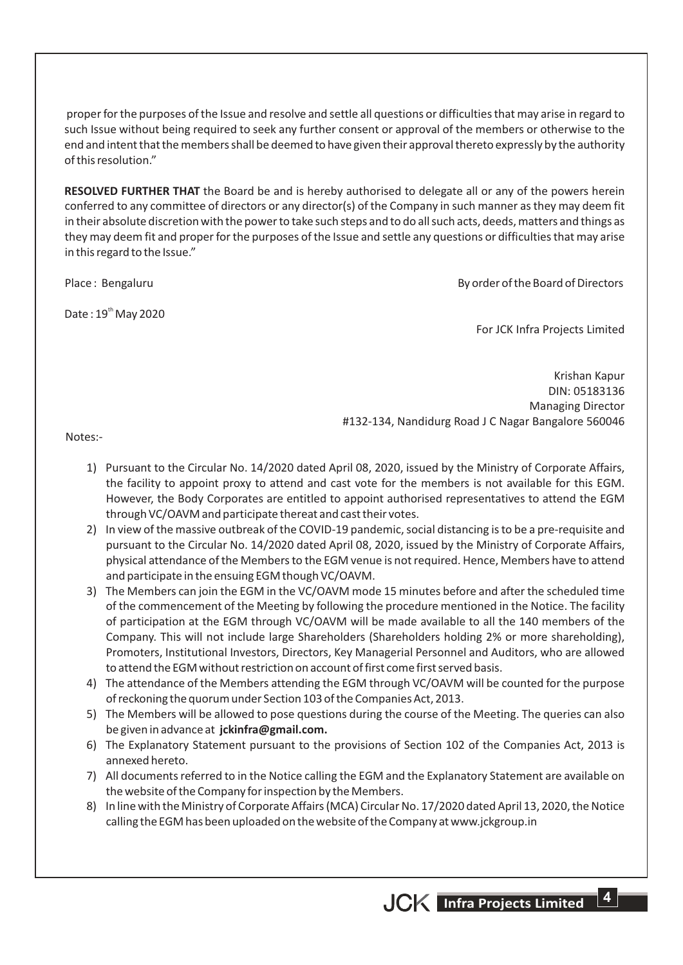proper for the purposes of the Issue and resolve and settle all questions or difficulties that may arise in regard to such Issue without being required to seek any further consent or approval of the members or otherwise to the end and intent that the members shall be deemed to have given their approval thereto expressly by the authority of this resolution."

**RESOLVED FURTHER THAT** the Board be and is hereby authorised to delegate all or any of the powers herein conferred to any committee of directors or any director(s) of the Company in such manner as they may deem fit in their absolute discretion with the power to take such steps and to do all such acts, deeds, matters and things as they may deem fit and proper for the purposes of the Issue and settle any questions or difficulties that may arise in this regard to the Issue."

Place : Bengaluru By order of the Board of Directors

Date:  $19<sup>th</sup>$  May 2020

For JCK Infra Projects Limited

Krishan Kapur DIN: 05183136 Managing Director #132-134, Nandidurg Road J C Nagar Bangalore 560046

Notes:-

- 1) Pursuant to the Circular No. 14/2020 dated April 08, 2020, issued by the Ministry of Corporate Affairs, the facility to appoint proxy to attend and cast vote for the members is not available for this EGM. However, the Body Corporates are entitled to appoint authorised representatives to attend the EGM through VC/OAVM and participate thereat and cast their votes.
- 2) In view of the massive outbreak of the COVID-19 pandemic, social distancing is to be a pre-requisite and pursuant to the Circular No. 14/2020 dated April 08, 2020, issued by the Ministry of Corporate Affairs, physical attendance of the Members to the EGM venue is not required. Hence, Members have to attend and participate in the ensuing EGM though VC/OAVM.
- 3) The Members can join the EGM in the VC/OAVM mode 15 minutes before and after the scheduled time of the commencement of the Meeting by following the procedure mentioned in the Notice. The facility of participation at the EGM through VC/OAVM will be made available to all the 140 members of the Company. This will not include large Shareholders (Shareholders holding 2% or more shareholding), Promoters, Institutional Investors, Directors, Key Managerial Personnel and Auditors, who are allowed to attend the EGM without restriction on account of first come first served basis.
- 4) The attendance of the Members attending the EGM through VC/OAVM will be counted for the purpose of reckoning the quorum under Section 103 of the Companies Act, 2013.
- 5) The Members will be allowed to pose questions during the course of the Meeting. The queries can also be given in advance at **jckinfra@gmail.com.**
- 6) The Explanatory Statement pursuant to the provisions of Section 102 of the Companies Act, 2013 is annexed hereto.
- 7) All documents referred to in the Notice calling the EGM and the Explanatory Statement are available on the website of the Company for inspection by the Members.
- 8) In line with the Ministry of Corporate Affairs (MCA) Circular No. 17/2020 dated April 13, 2020, the Notice calling the EGM has been uploaded on the website of the Company at www.jckgroup.in

**4**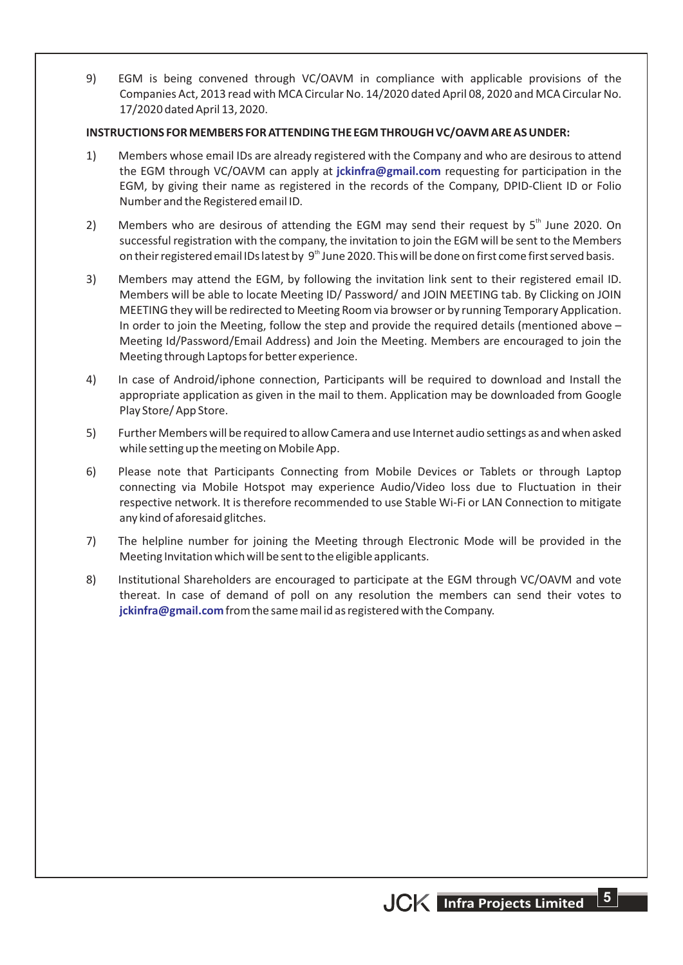9) EGM is being convened through VC/OAVM in compliance with applicable provisions of the Companies Act, 2013 read with MCA Circular No. 14/2020 dated April 08, 2020 and MCA Circular No. 17/2020 dated April 13, 2020.

#### **INSTRUCTIONS FOR MEMBERS FOR ATTENDING THE EGM THROUGH VC/OAVM ARE AS UNDER:**

- 1) Members whose email IDs are already registered with the Company and who are desirous to attend the EGM through VC/OAVM can apply at *jckinfra@gmail.com* requesting for participation in the EGM, by giving their name as registered in the records of the Company, DPID-Client ID or Folio Number and the Registered email ID.
- 2) Members who are desirous of attending the EGM may send their request by  $5<sup>th</sup>$  June 2020. On successful registration with the company, the invitation to join the EGM will be sent to the Members on their registered email IDs latest by 9<sup>th</sup> June 2020. This will be done on first come first served basis.
- 3) Members may attend the EGM, by following the invitation link sent to their registered email ID. Members will be able to locate Meeting ID/ Password/ and JOIN MEETING tab. By Clicking on JOIN MEETING they will be redirected to Meeting Room via browser or by running Temporary Application. In order to join the Meeting, follow the step and provide the required details (mentioned above – Meeting Id/Password/Email Address) and Join the Meeting. Members are encouraged to join the Meeting through Laptops for better experience.
- 4) In case of Android/iphone connection, Participants will be required to download and Install the appropriate application as given in the mail to them. Application may be downloaded from Google Play Store/ App Store.
- 5) Further Members will be required to allow Camera and use Internet audio settings as and when asked while setting up the meeting on Mobile App.
- 6) Please note that Participants Connecting from Mobile Devices or Tablets or through Laptop connecting via Mobile Hotspot may experience Audio/Video loss due to Fluctuation in their respective network. It is therefore recommended to use Stable Wi-Fi or LAN Connection to mitigate any kind of aforesaid glitches.
- 7) The helpline number for joining the Meeting through Electronic Mode will be provided in the Meeting Invitation which will be sent to the eligible applicants.
- 8) Institutional Shareholders are encouraged to participate at the EGM through VC/OAVM and vote thereat. In case of demand of poll on any resolution the members can send their votes to  $j$ ckinfra@gmail.com from the same mail id as registered with the Company.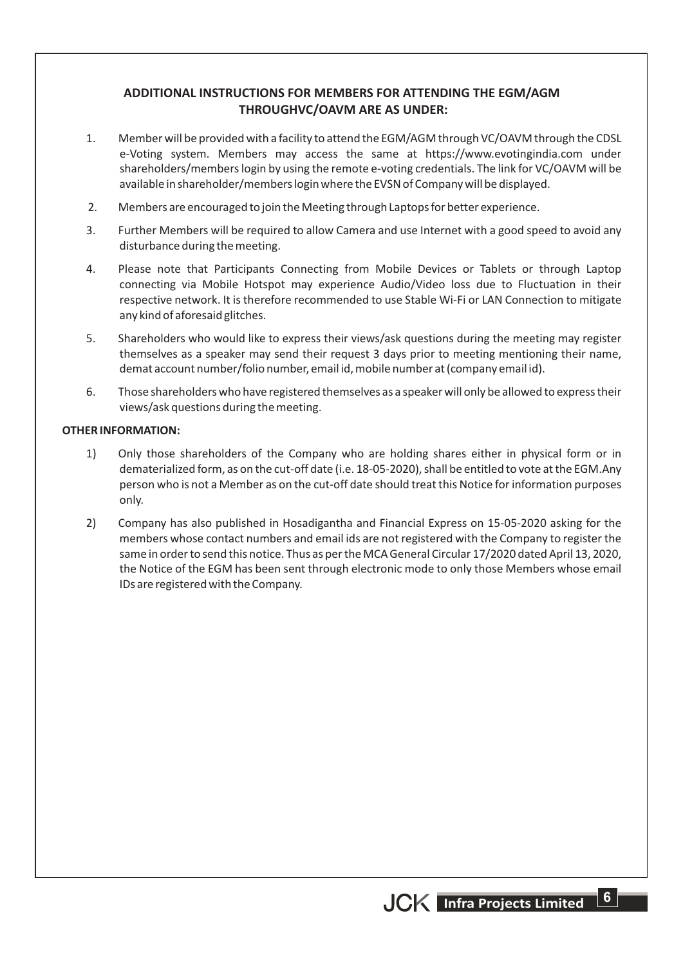# **ADDITIONAL INSTRUCTIONS FOR MEMBERS FOR ATTENDING THE EGM/AGM THROUGHVC/OAVM ARE AS UNDER:**

- 1. Member will be provided with a facility to attend the EGM/AGM through VC/OAVM through the CDSL e-Voting system. Members may access the same at https://www.evotingindia.com under shareholders/members login by using the remote e-voting credentials. The link for VC/OAVM will be available in shareholder/members login where the EVSN of Company will be displayed.
- 2. Members are encouraged to join the Meeting through Laptops for better experience.
- 3. Further Members will be required to allow Camera and use Internet with a good speed to avoid any disturbance during the meeting.
- 4. Please note that Participants Connecting from Mobile Devices or Tablets or through Laptop connecting via Mobile Hotspot may experience Audio/Video loss due to Fluctuation in their respective network. It is therefore recommended to use Stable Wi-Fi or LAN Connection to mitigate any kind of aforesaid glitches.
- 5. Shareholders who would like to express their views/ask questions during the meeting may register themselves as a speaker may send their request 3 days prior to meeting mentioning their name, demat account number/folio number, email id, mobile number at (company email id).
- 6. Those shareholders who have registered themselves as a speaker will only be allowed to express their views/ask questions during the meeting.

#### **OTHER INFORMATION:**

- 1) Only those shareholders of the Company who are holding shares either in physical form or in dematerialized form, as on the cut-off date (i.e. 18-05-2020), shall be entitled to vote at the EGM.Any person who is not a Member as on the cut-off date should treat this Notice for information purposes only.
- 2) Company has also published in Hosadigantha and Financial Express on 15-05-2020 asking for the members whose contact numbers and email ids are not registered with the Company to register the same in order to send this notice. Thus as per the MCA General Circular 17/2020 dated April 13, 2020, the Notice of the EGM has been sent through electronic mode to only those Members whose email IDs are registered with the Company.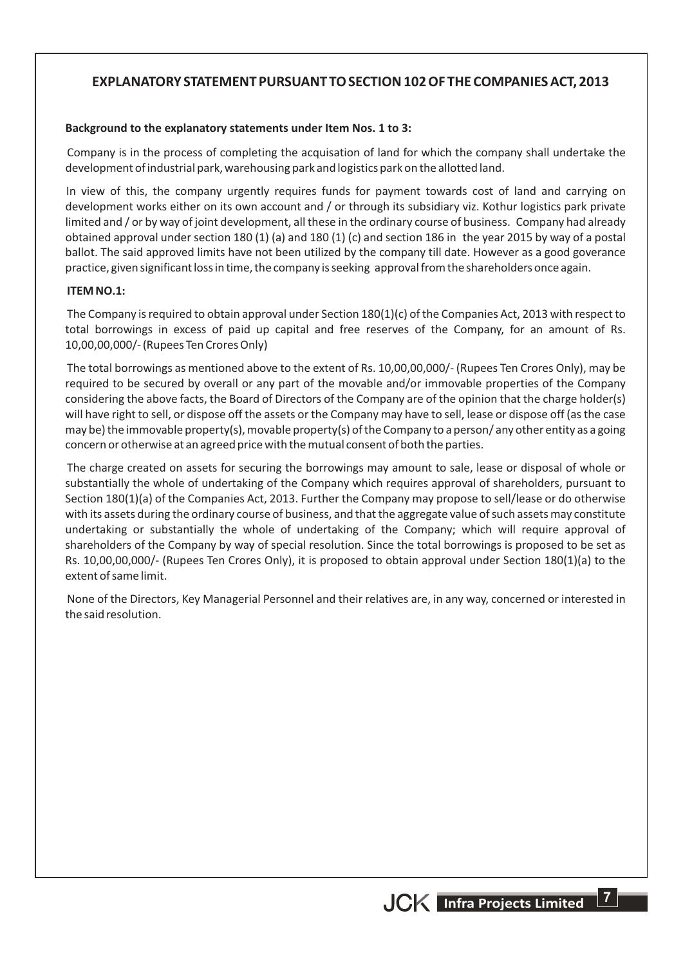# **EXPLANATORY STATEMENT PURSUANT TO SECTION 102 OF THE COMPANIES ACT, 2013**

#### **Background to the explanatory statements under Item Nos. 1 to 3:**

Company is in the process of completing the acquisation of land for which the company shall undertake the development of industrial park, warehousing park and logistics park on the allotted land.

In view of this, the company urgently requires funds for payment towards cost of land and carrying on development works either on its own account and / or through its subsidiary viz. Kothur logistics park private limited and / or by way of joint development, all these in the ordinary course of business. Company had already obtained approval under section 180 (1) (a) and 180 (1) (c) and section 186 in the year 2015 by way of a postal ballot. The said approved limits have not been utilized by the company till date. However as a good goverance practice, given significant loss in time, the company is seeking approval from the shareholders once again.

#### **ITEM NO.1:**

The Company is required to obtain approval under Section 180(1)(c) of the Companies Act, 2013 with respect to total borrowings in excess of paid up capital and free reserves of the Company, for an amount of Rs. 10,00,00,000/- (Rupees Ten Crores Only)

The total borrowings as mentioned above to the extent of Rs. 10,00,00,000/- (Rupees Ten Crores Only), may be required to be secured by overall or any part of the movable and/or immovable properties of the Company considering the above facts, the Board of Directors of the Company are of the opinion that the charge holder(s) will have right to sell, or dispose off the assets or the Company may have to sell, lease or dispose off (as the case may be) the immovable property(s), movable property(s) of the Company to a person/ any other entity as a going concern or otherwise at an agreed price with the mutual consent of both the parties.

The charge created on assets for securing the borrowings may amount to sale, lease or disposal of whole or substantially the whole of undertaking of the Company which requires approval of shareholders, pursuant to Section 180(1)(a) of the Companies Act, 2013. Further the Company may propose to sell/lease or do otherwise with its assets during the ordinary course of business, and that the aggregate value of such assets may constitute undertaking or substantially the whole of undertaking of the Company; which will require approval of shareholders of the Company by way of special resolution. Since the total borrowings is proposed to be set as Rs. 10,00,00,000/- (Rupees Ten Crores Only), it is proposed to obtain approval under Section 180(1)(a) to the extent of same limit.

None of the Directors, Key Managerial Personnel and their relatives are, in any way, concerned or interested in the said resolution.

**67**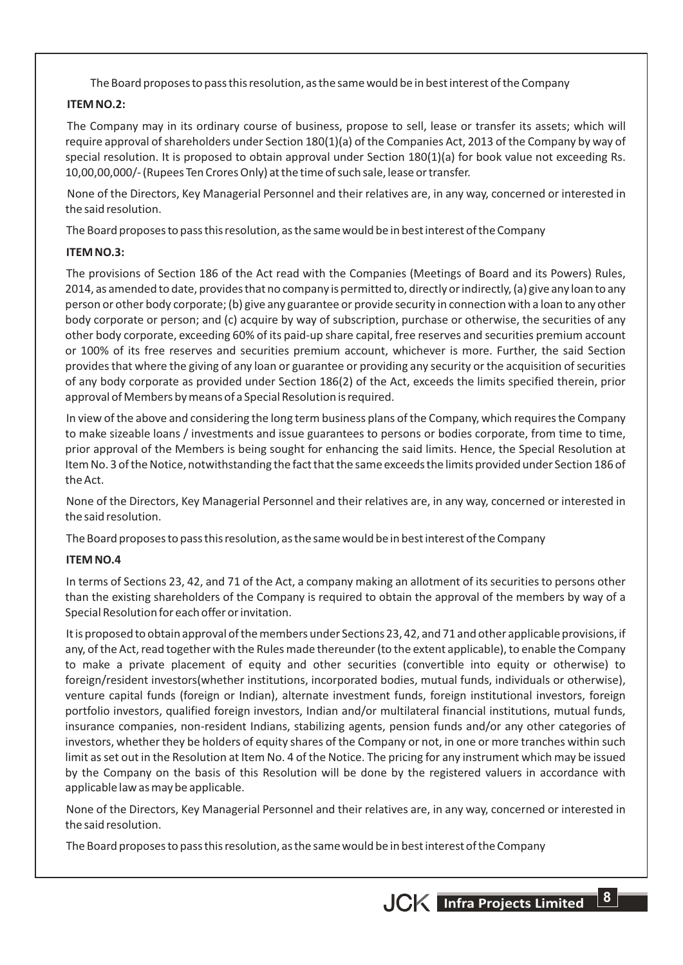The Board proposes to pass this resolution, as the same would be in best interest of the Company

## **ITEM NO.2:**

The Company may in its ordinary course of business, propose to sell, lease or transfer its assets; which will require approval of shareholders under Section 180(1)(a) of the Companies Act, 2013 of the Company by way of special resolution. It is proposed to obtain approval under Section 180(1)(a) for book value not exceeding Rs. 10,00,00,000/- (Rupees Ten Crores Only) at the time of such sale, lease or transfer.

None of the Directors, Key Managerial Personnel and their relatives are, in any way, concerned or interested in the said resolution.

The Board proposes to pass this resolution, as the same would be in best interest of the Company

## **ITEM NO.3:**

The provisions of Section 186 of the Act read with the Companies (Meetings of Board and its Powers) Rules, 2014, as amended to date, provides that no company is permitted to, directly or indirectly, (a) give any loan to any person or other body corporate; (b) give any guarantee or provide security in connection with a loan to any other body corporate or person; and (c) acquire by way of subscription, purchase or otherwise, the securities of any other body corporate, exceeding 60% of its paid-up share capital, free reserves and securities premium account or 100% of its free reserves and securities premium account, whichever is more. Further, the said Section provides that where the giving of any loan or guarantee or providing any security or the acquisition of securities of any body corporate as provided under Section 186(2) of the Act, exceeds the limits specified therein, prior approval of Members by means of a Special Resolution is required.

In view of the above and considering the long term business plans of the Company, which requires the Company to make sizeable loans / investments and issue guarantees to persons or bodies corporate, from time to time, prior approval of the Members is being sought for enhancing the said limits. Hence, the Special Resolution at Item No. 3 of the Notice, notwithstanding the fact that the same exceeds the limits provided under Section 186 of the Act.

None of the Directors, Key Managerial Personnel and their relatives are, in any way, concerned or interested in the said resolution.

The Board proposes to pass this resolution, as the same would be in best interest of the Company

#### **ITEM NO.4**

In terms of Sections 23, 42, and 71 of the Act, a company making an allotment of its securities to persons other than the existing shareholders of the Company is required to obtain the approval of the members by way of a Special Resolution for each offer or invitation.

It is proposed to obtain approval of the members under Sections 23, 42, and 71 and other applicable provisions, if any, of the Act, read together with the Rules made thereunder (to the extent applicable), to enable the Company to make a private placement of equity and other securities (convertible into equity or otherwise) to foreign/resident investors(whether institutions, incorporated bodies, mutual funds, individuals or otherwise), venture capital funds (foreign or Indian), alternate investment funds, foreign institutional investors, foreign portfolio investors, qualified foreign investors, Indian and/or multilateral financial institutions, mutual funds, insurance companies, non-resident Indians, stabilizing agents, pension funds and/or any other categories of investors, whether they be holders of equity shares of the Company or not, in one or more tranches within such limit as set out in the Resolution at Item No. 4 of the Notice. The pricing for any instrument which may be issued by the Company on the basis of this Resolution will be done by the registered valuers in accordance with applicable law as may be applicable.

None of the Directors, Key Managerial Personnel and their relatives are, in any way, concerned or interested in the said resolution.

The Board proposes to pass this resolution, as the same would be in best interest of the Company